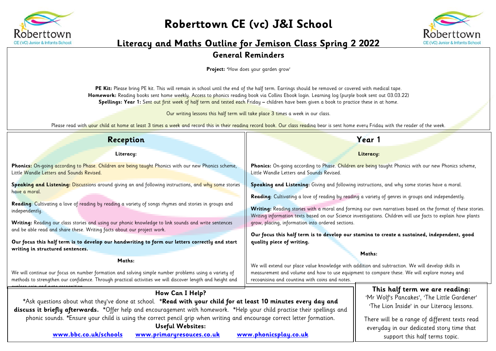

## **Roberttown CE (vc) J&I School**



## **Literacy and Maths Outline for Jemison Class Spring 2 2022**

## **General Reminders**

**Project: '**How does your garden grow'

PE Kit: Please bring PE kit. This will remain in school until the end of the half term. Earrings should be removed or covered with medical tape. **Homework:** Reading books sent home weekly. Access to phonics reading book via Collins Ebook login. Learning log (purple book sent out 03.03.22) **Spellings: Year 1:** Sent out first week of half term and tested each Friday **–** children have been given a book to practice these in at home.

Our writing lessons this half term will take place 3 times a week in our class.

Please read with your child at home at least 3 times a week and record this in their reading record book. Our class reading bear is sent home every Friday with the reader of the week.

| Reception                                                                                                                                                                                                                                                                                                                             | Year 1                                                                                                                                                                                                                                                                                                                                                                                                                            |  |  |  |
|---------------------------------------------------------------------------------------------------------------------------------------------------------------------------------------------------------------------------------------------------------------------------------------------------------------------------------------|-----------------------------------------------------------------------------------------------------------------------------------------------------------------------------------------------------------------------------------------------------------------------------------------------------------------------------------------------------------------------------------------------------------------------------------|--|--|--|
| Literacy:                                                                                                                                                                                                                                                                                                                             | Literacy:                                                                                                                                                                                                                                                                                                                                                                                                                         |  |  |  |
| Phonics: On-going according to Phase. Children are being taught Phonics with our new Phonics scheme,<br>Little Wandle Letters and Sounds Revised.                                                                                                                                                                                     | Phonics: On-going according to Phase. Children are being taught Phonics with our new Phonics scheme,<br>Little Wandle Letters and Sounds Revised.                                                                                                                                                                                                                                                                                 |  |  |  |
| Speaking and Listening: Discussions around giving an and following instructions, and why some stories<br>have a moral.                                                                                                                                                                                                                | Speaking and Listening: Giving and following instructions, and why some stories have a moral.<br>Reading: Cultivating a love of reading by reading a variety of genres in groups and independently.<br>Writing: Reading stories with a moral and forming our own narratives based on the format of these stories.<br>Writing information texts based on our Science investigations. Children will use facts to explain how plants |  |  |  |
| Reading: Cultivating a love of reading by reading a variety of songs rhymes and stories in groups and<br>independently.                                                                                                                                                                                                               |                                                                                                                                                                                                                                                                                                                                                                                                                                   |  |  |  |
| Writing: Reading our class stories and using our phonic knowledge to link sounds and write sentences<br>and be able read and share these. Writing facts about our project work.<br>Our focus this half term is to develop our handwriting to form our letters correctly and start                                                     | grow, placing, information into ordered sections.<br>Our focus this half term is to develop our stamina to create a sustained, independent, good<br>quality piece of writing.                                                                                                                                                                                                                                                     |  |  |  |
| writing in structured sentences.                                                                                                                                                                                                                                                                                                      | Maths:                                                                                                                                                                                                                                                                                                                                                                                                                            |  |  |  |
| Maths:<br>We will continue our focus on number formation and solving simple number problems using a variety of<br>methods to strengthen our confidence. Through practical activities we will discover length and height and                                                                                                           | We will extend our place value knowledge with addition and subtraction. We will develop skills in<br>measurement and volume and how to use equipment to compare these. We will explore money and<br>recognising and counting with coins and notes.                                                                                                                                                                                |  |  |  |
| How Can I Help?<br>*Ask questions about what they've done at school. *Read with your child for at least 10 minutes every day and                                                                                                                                                                                                      | This half term we are reading:<br>'Mr Wolf's Pancakes', 'The Little Gardener'<br>'The Lion Inside' in our Literacy lessons.                                                                                                                                                                                                                                                                                                       |  |  |  |
| discuss it briefly afterwards. *Offer help and encouragement with homework. *Help your child practise their spellings and<br>phonic sounds. *Ensure your child is using the correct pencil grip when writing and encourage correct letter formation.<br><b>Useful Websites:</b><br>www.bbc.co.uk/schools<br>www.primaryresouces.co.uk | There will be a range of different texts read<br>everyday in our dedicated story time that<br>www.phonicsplay.co.uk<br>support this half terms topic.                                                                                                                                                                                                                                                                             |  |  |  |